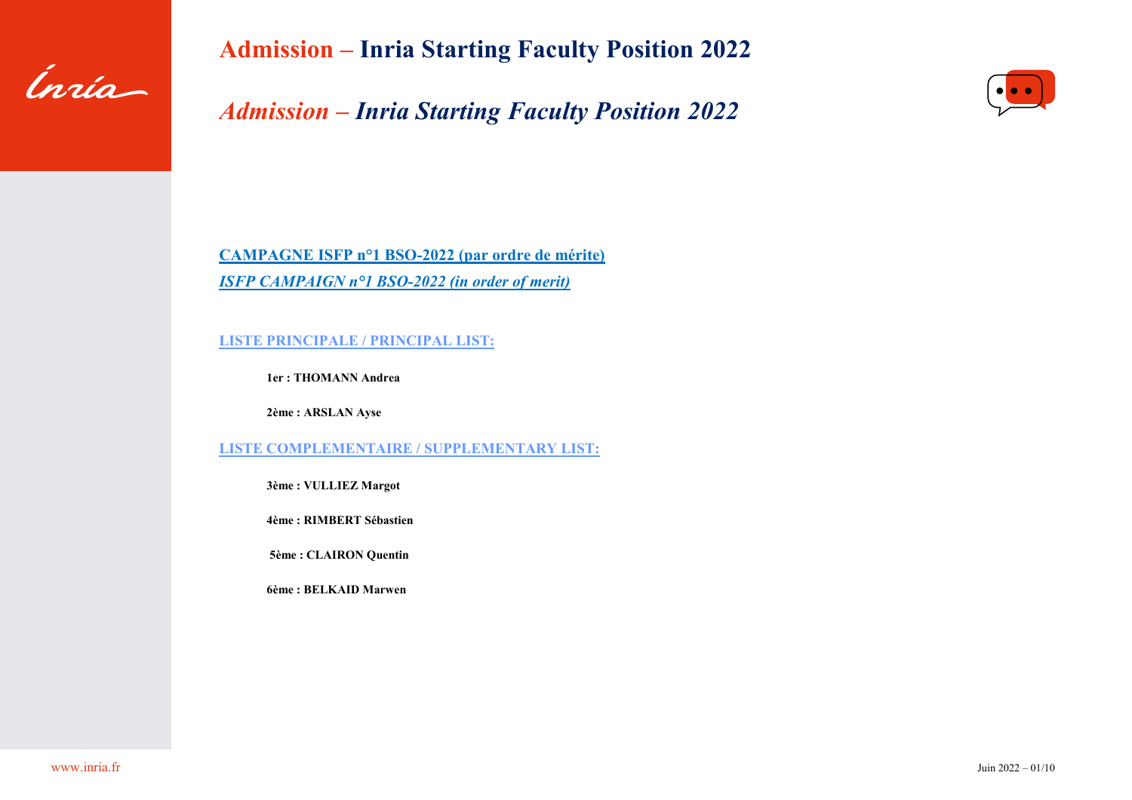

*Admission – Inria Starting Faculty Position 2022*



**CAMPAGNE ISFP n°1 BSO-2022 (par ordre de mérite)** *ISFP CAMPAIGN n°1 BSO-2022 (in order of merit)*

**LISTE PRINCIPALE / PRINCIPAL LIST:**

**1er : THOMANN Andrea** 

**2ème : ARSLAN Ayse** 

**LISTE COMPLEMENTAIRE / SUPPLEMENTARY LIST:** 

**3ème : VULLIEZ Margot**

**4ème : RIMBERT Sébastien**

**5ème : CLAIRON Quentin**

**6ème : BELKAID Marwen**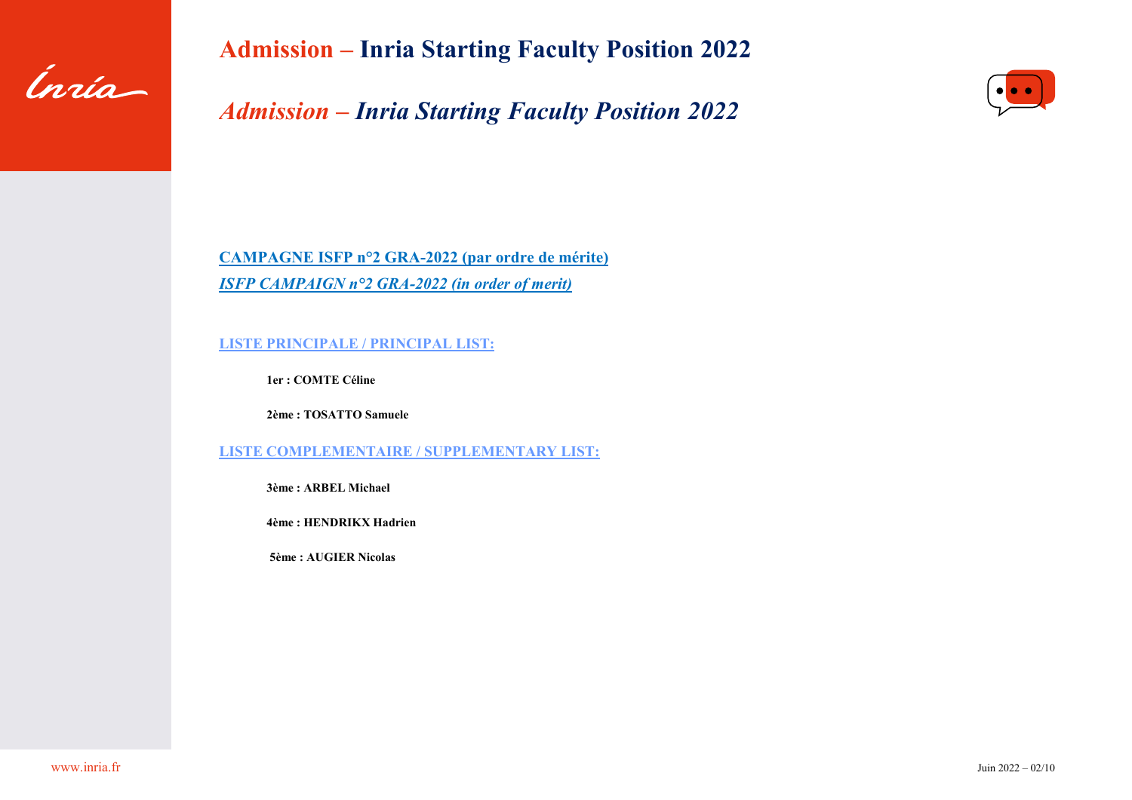

*Admission – Inria Starting Faculty Position 2022*



**CAMPAGNE ISFP n°2 GRA-2022 (par ordre de mérite)** *ISFP CAMPAIGN n°2 GRA-2022 (in order of merit)*

**LISTE PRINCIPALE / PRINCIPAL LIST:**

**1er : COMTE Céline** 

**2ème : TOSATTO Samuele** 

**LISTE COMPLEMENTAIRE / SUPPLEMENTARY LIST:** 

**3ème : ARBEL Michael** 

**4ème : HENDRIKX Hadrien** 

**5ème : AUGIER Nicolas**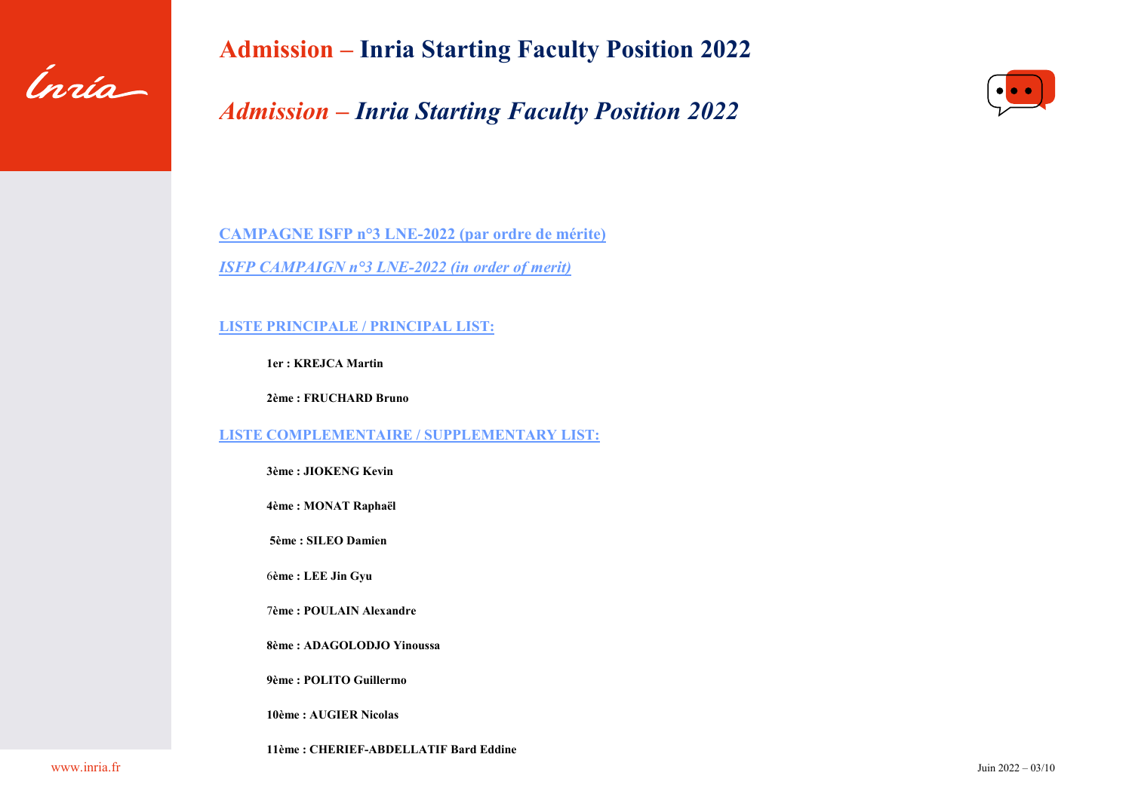

# *Admission – Inria Starting Faculty Position 2022*



**CAMPAGNE ISFP n°3 LNE-2022 (par ordre de mérite)** *ISFP CAMPAIGN n°3 LNE-2022 (in order of merit)*

**LISTE PRINCIPALE / PRINCIPAL LIST:**

**1er : KREJCA Martin** 

**2ème : FRUCHARD Bruno** 

**LISTE COMPLEMENTAIRE / SUPPLEMENTARY LIST:** 

**3ème : JIOKENG Kevin** 

**4ème : MONAT Raphaël** 

**5ème : SILEO Damien**

6**ème : LEE Jin Gyu**

7**ème : POULAIN Alexandre** 

**8ème : ADAGOLODJO Yinoussa** 

**9ème : POLITO Guillermo**

**10ème : AUGIER Nicolas** 

**11ème : CHERIEF-ABDELLATIF Bard Eddine**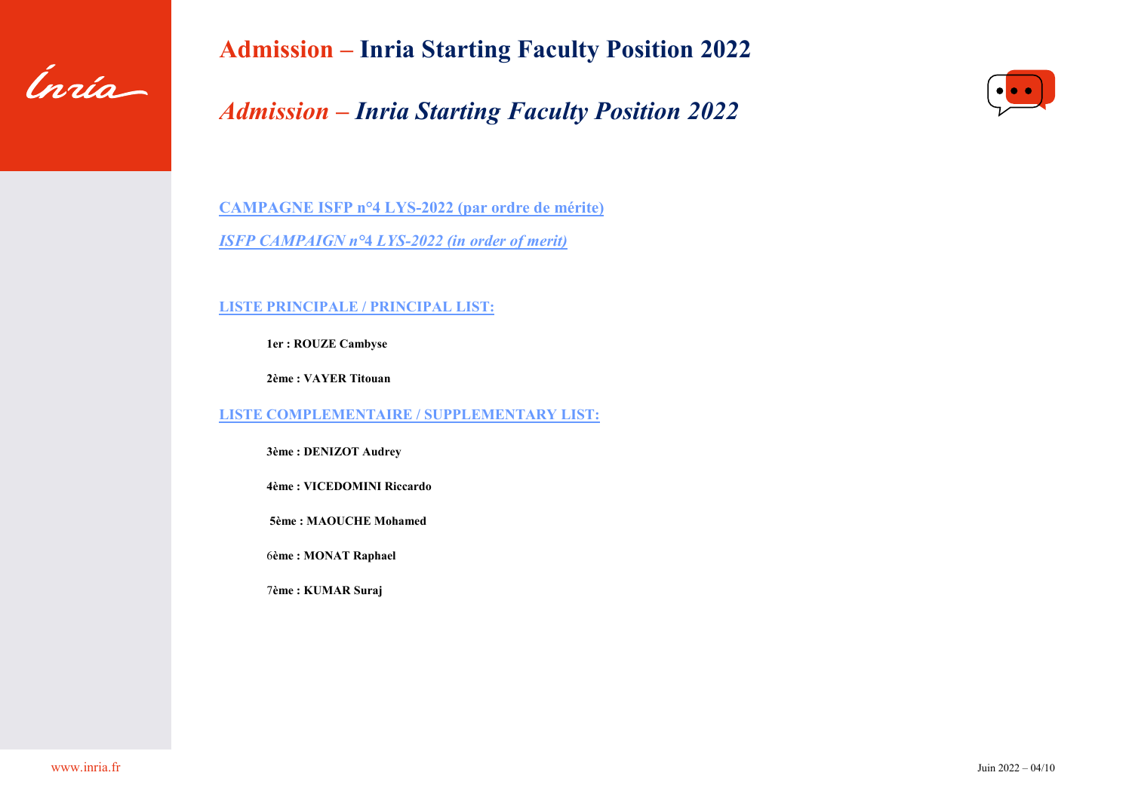

# *Admission – Inria Starting Faculty Position 2022*



**CAMPAGNE ISFP n°4 LYS-2022 (par ordre de mérite)** *ISFP CAMPAIGN n°***4** *LYS-2022 (in order of merit)*

**LISTE PRINCIPALE / PRINCIPAL LIST:**

**1er : ROUZE Cambyse**

**2ème : VAYER Titouan** 

**LISTE COMPLEMENTAIRE / SUPPLEMENTARY LIST:** 

**3ème : DENIZOT Audrey** 

**4ème : VICEDOMINI Riccardo** 

**5ème : MAOUCHE Mohamed**

6**ème : MONAT Raphael**

7**ème : KUMAR Suraj**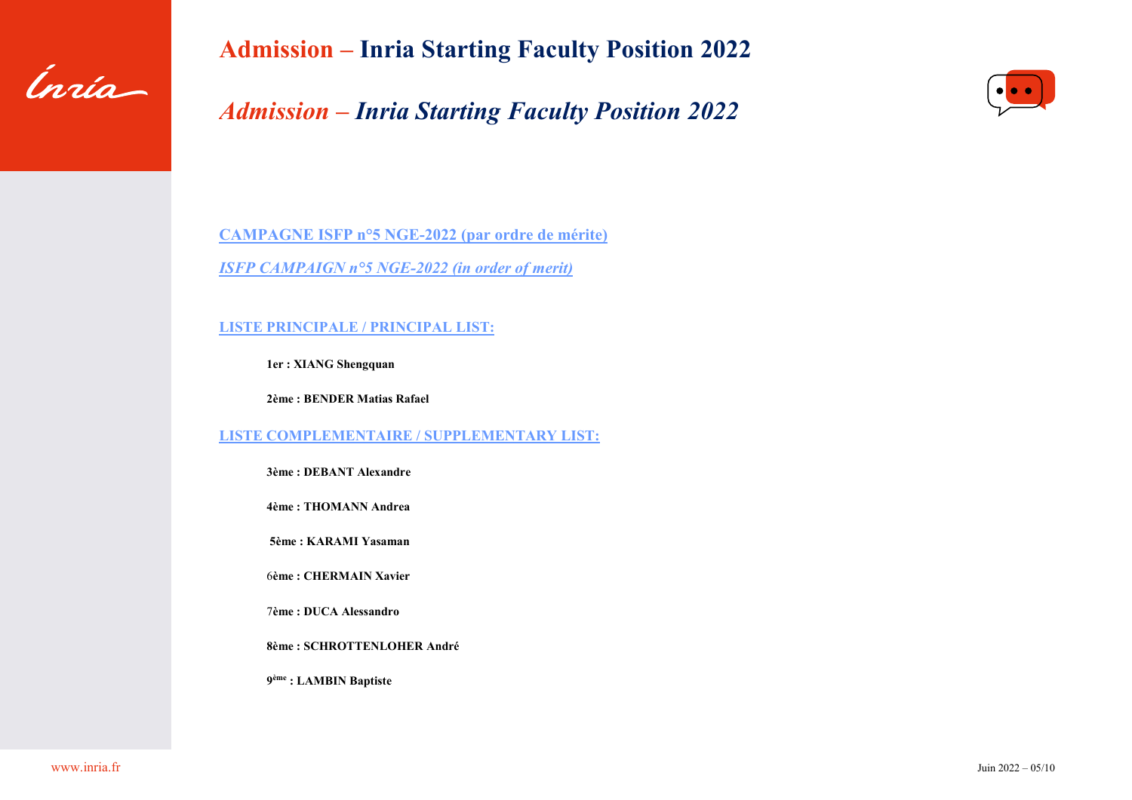

# *Admission – Inria Starting Faculty Position 2022*



**CAMPAGNE ISFP n°5 NGE-2022 (par ordre de mérite)** *ISFP CAMPAIGN n°5 NGE-2022 (in order of merit)*

**LISTE PRINCIPALE / PRINCIPAL LIST:**

**1er : XIANG Shengquan**

**2ème : BENDER Matias Rafael** 

**LISTE COMPLEMENTAIRE / SUPPLEMENTARY LIST:** 

**3ème : DEBANT Alexandre** 

**4ème : THOMANN Andrea** 

**5ème : KARAMI Yasaman**

6**ème : CHERMAIN Xavier**

7**ème : DUCA Alessandro** 

**8ème : SCHROTTENLOHER André**

**9ème : LAMBIN Baptiste**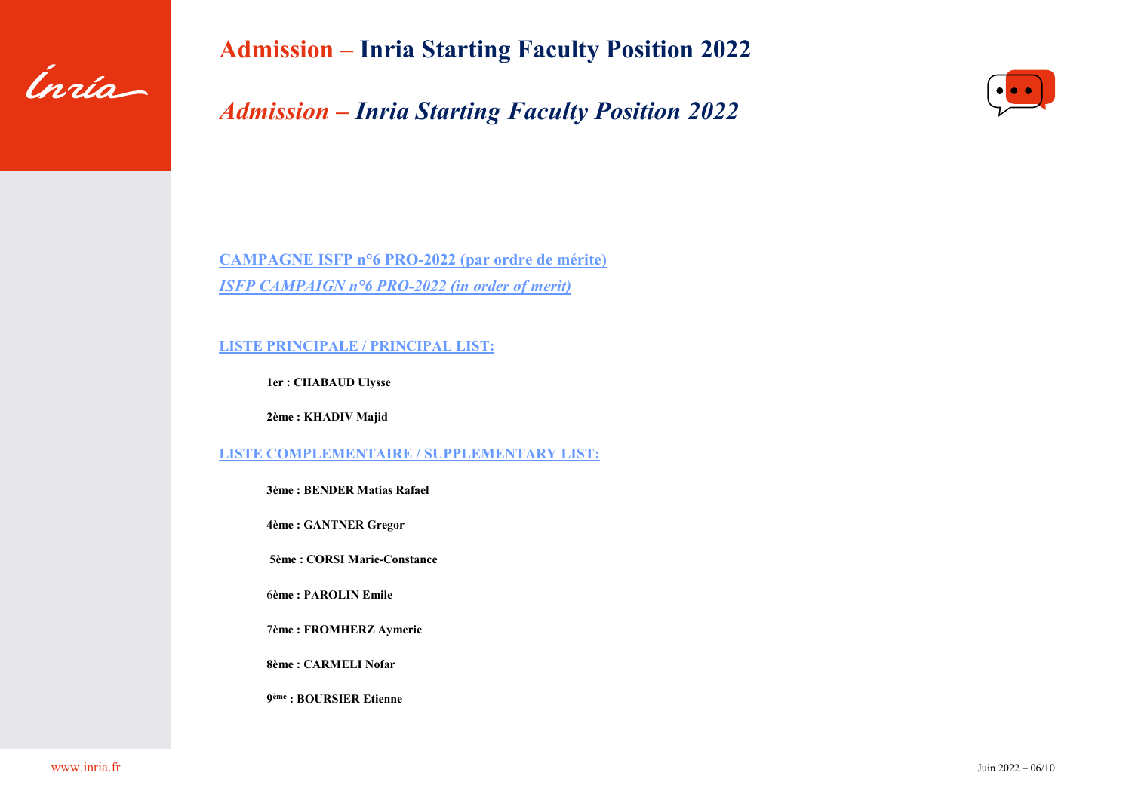

*Admission – Inria Starting Faculty Position 2022*



**CAMPAGNE ISFP n°6 PRO-2022 (par ordre de mérite)** *ISFP CAMPAIGN n°6 PRO-2022 (in order of merit)*

#### **LISTE PRINCIPALE / PRINCIPAL LIST:**

**1er : CHABAUD Ulysse**

**2ème : KHADIV Majid** 

**LISTE COMPLEMENTAIRE / SUPPLEMENTARY LIST:** 

**3ème : BENDER Matias Rafael** 

**4ème : GANTNER Gregor** 

**5ème : CORSI Marie-Constance**

6**ème : PAROLIN Emile**

7**ème : FROMHERZ Aymeric** 

**8ème : CARMELI Nofar**

**9ème : BOURSIER Etienne**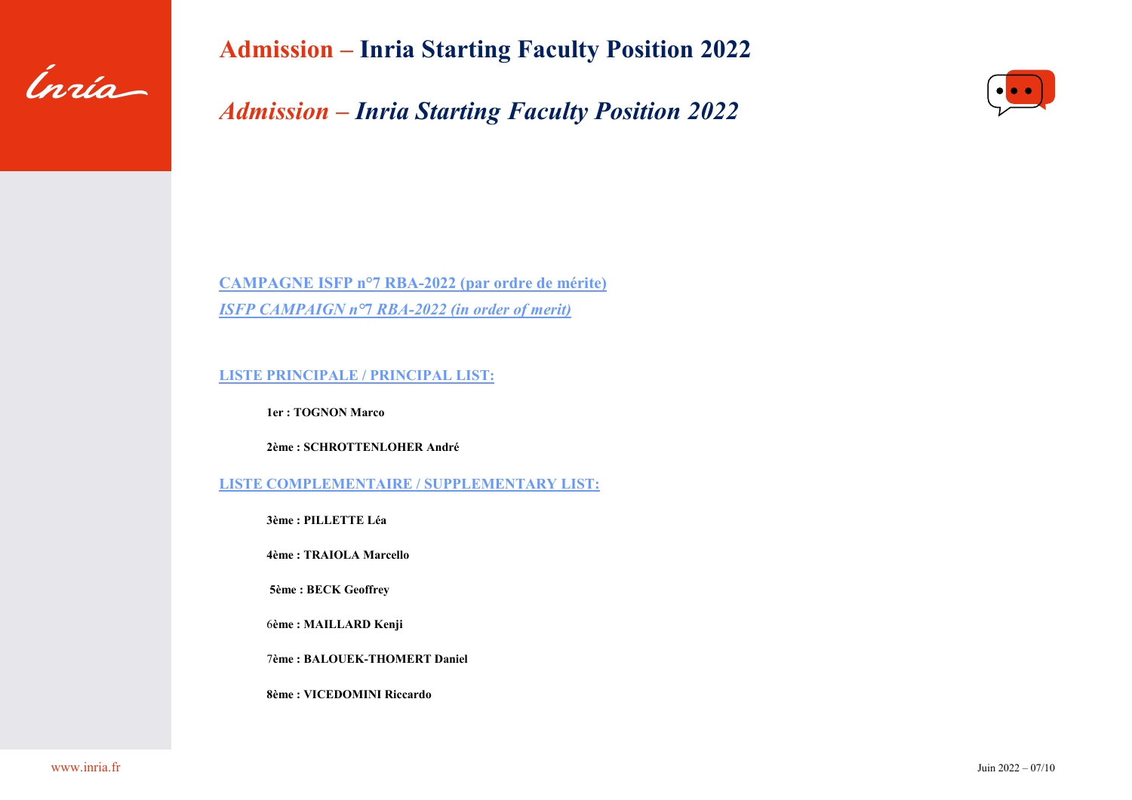

*Admission – Inria Starting Faculty Position 2022*



**CAMPAGNE ISFP n°7 RBA-2022 (par ordre de mérite)** *ISFP CAMPAIGN n°***7** *RBA-2022 (in order of merit)*

**LISTE PRINCIPALE / PRINCIPAL LIST:**

**1er : TOGNON Marco** 

**2ème : SCHROTTENLOHER André** 

**LISTE COMPLEMENTAIRE / SUPPLEMENTARY LIST:** 

**3ème : PILLETTE Léa** 

**4ème : TRAIOLA Marcello** 

**5ème : BECK Geoffrey**

6**ème : MAILLARD Kenji**

7**ème : BALOUEK-THOMERT Daniel** 

**8ème : VICEDOMINI Riccardo**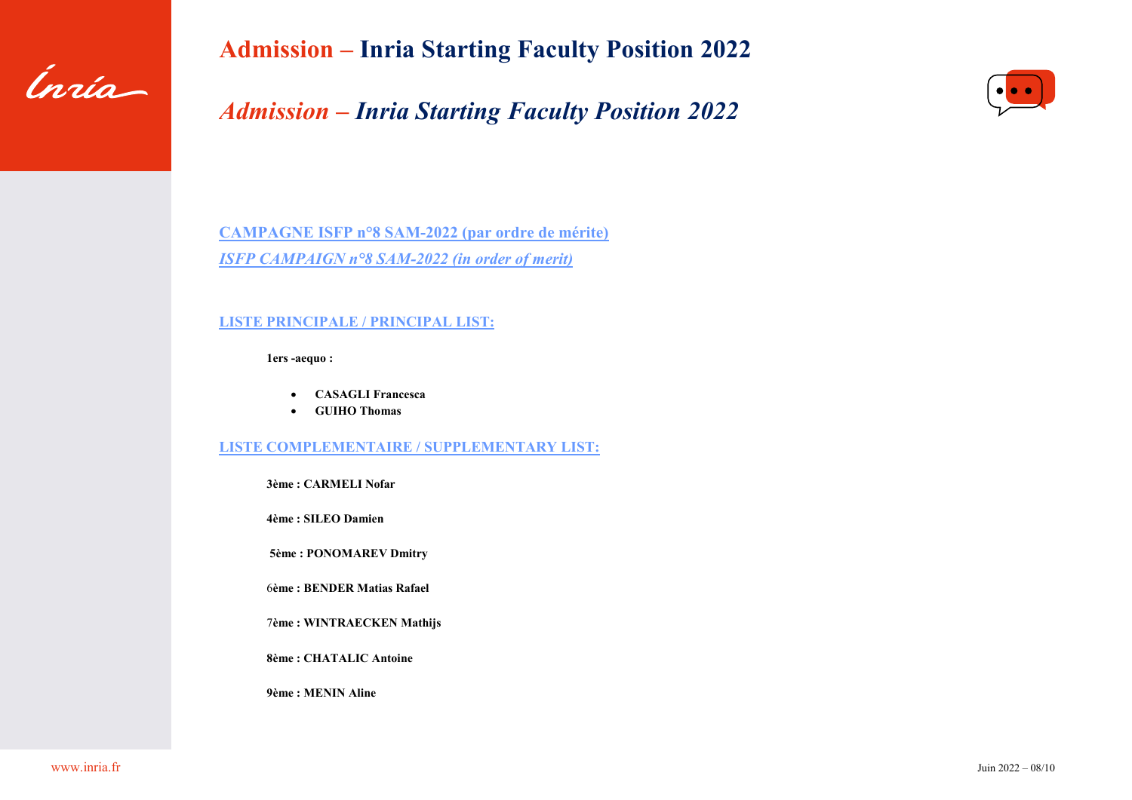

# *Admission – Inria Starting Faculty Position 2022*



**CAMPAGNE ISFP n°8 SAM-2022 (par ordre de mérite)** *ISFP CAMPAIGN n°8 SAM-2022 (in order of merit)*

### **LISTE PRINCIPALE / PRINCIPAL LIST:**

**1ers -aequo :** 

- **CASAGLI Francesca**
- **GUIHO Thomas**

#### **LISTE COMPLEMENTAIRE / SUPPLEMENTARY LIST:**

**3ème : CARMELI Nofar**

**4ème : SILEO Damien** 

**5ème : PONOMAREV Dmitry**

6**ème : BENDER Matias Rafael**

7**ème : WINTRAECKEN Mathijs**

**8ème : CHATALIC Antoine**

**9ème : MENIN Aline**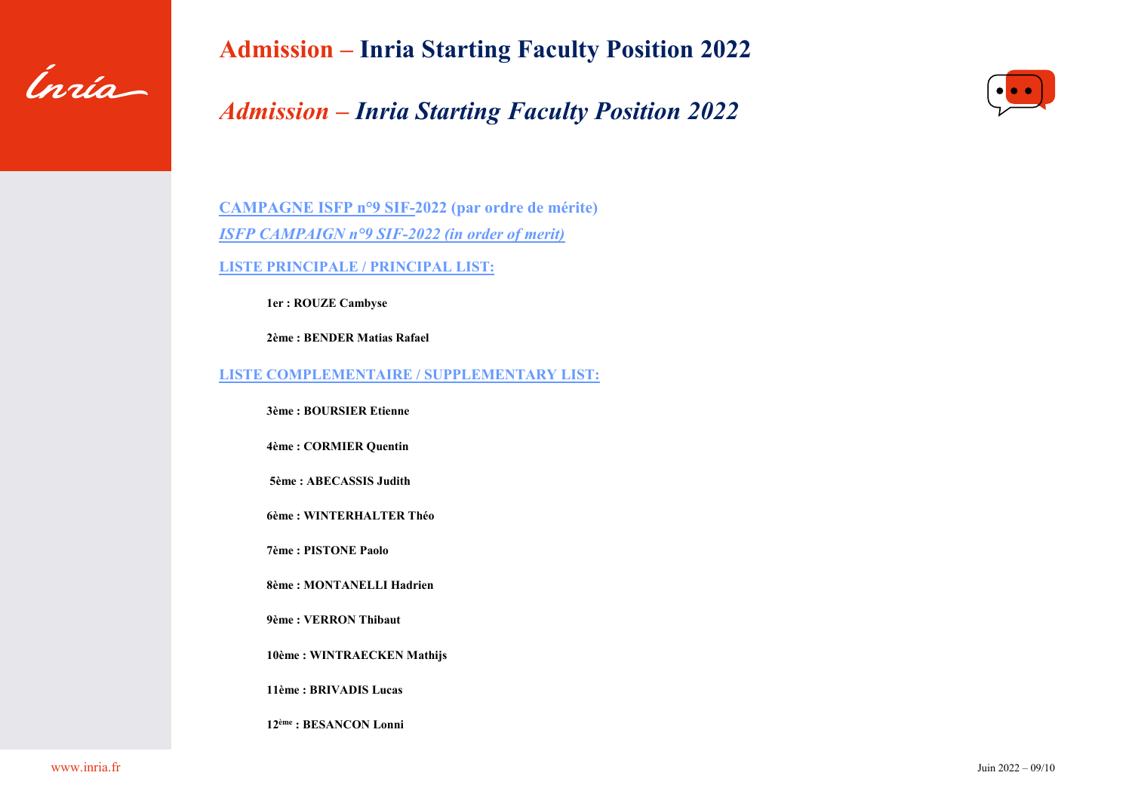

# *Admission – Inria Starting Faculty Position 2022*



**CAMPAGNE ISFP n°9 SIF-2022 (par ordre de mérite)** *ISFP CAMPAIGN n°9 SIF-2022 (in order of merit)* **LISTE PRINCIPALE / PRINCIPAL LIST:**

**1er : ROUZE Cambyse** 

**2ème : BENDER Matias Rafael**

**LISTE COMPLEMENTAIRE / SUPPLEMENTARY LIST:** 

**3ème : BOURSIER Etienne** 

**4ème : CORMIER Quentin** 

**5ème : ABECASSIS Judith**

**6ème : WINTERHALTER Théo**

**7ème : PISTONE Paolo** 

**8ème : MONTANELLI Hadrien** 

**9ème : VERRON Thibaut**

**10ème : WINTRAECKEN Mathijs** 

**11ème : BRIVADIS Lucas**

**12ème : BESANCON Lonni**